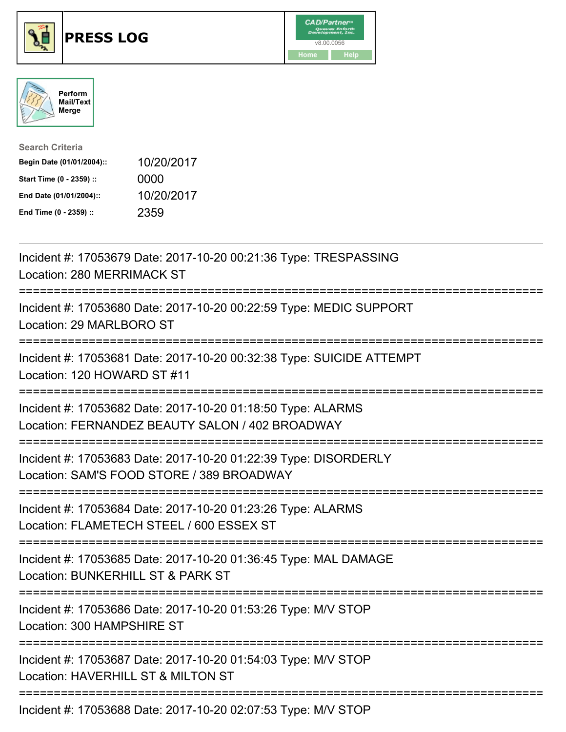





| <b>Search Criteria</b>    |            |
|---------------------------|------------|
| Begin Date (01/01/2004):: | 10/20/2017 |
| Start Time (0 - 2359) ::  | 0000       |
| End Date (01/01/2004)::   | 10/20/2017 |
| End Time (0 - 2359) ::    | 2359       |

| Incident #: 17053679 Date: 2017-10-20 00:21:36 Type: TRESPASSING<br>Location: 280 MERRIMACK ST                                                       |
|------------------------------------------------------------------------------------------------------------------------------------------------------|
| Incident #: 17053680 Date: 2017-10-20 00:22:59 Type: MEDIC SUPPORT<br>Location: 29 MARLBORO ST                                                       |
| Incident #: 17053681 Date: 2017-10-20 00:32:38 Type: SUICIDE ATTEMPT<br>Location: 120 HOWARD ST #11                                                  |
| Incident #: 17053682 Date: 2017-10-20 01:18:50 Type: ALARMS<br>Location: FERNANDEZ BEAUTY SALON / 402 BROADWAY                                       |
| Incident #: 17053683 Date: 2017-10-20 01:22:39 Type: DISORDERLY<br>Location: SAM'S FOOD STORE / 389 BROADWAY                                         |
| Incident #: 17053684 Date: 2017-10-20 01:23:26 Type: ALARMS<br>Location: FLAMETECH STEEL / 600 ESSEX ST<br>=============================             |
| Incident #: 17053685 Date: 2017-10-20 01:36:45 Type: MAL DAMAGE<br>Location: BUNKERHILL ST & PARK ST<br>==========================<br>:============= |
| Incident #: 17053686 Date: 2017-10-20 01:53:26 Type: M/V STOP<br>Location: 300 HAMPSHIRE ST                                                          |
| ====================================<br>Incident #: 17053687 Date: 2017-10-20 01:54:03 Type: M/V STOP<br>Location: HAVERHILL ST & MILTON ST          |
| Incident #: 17053688 Date: 2017-10-20 02:07:53 Type: M/V STOP                                                                                        |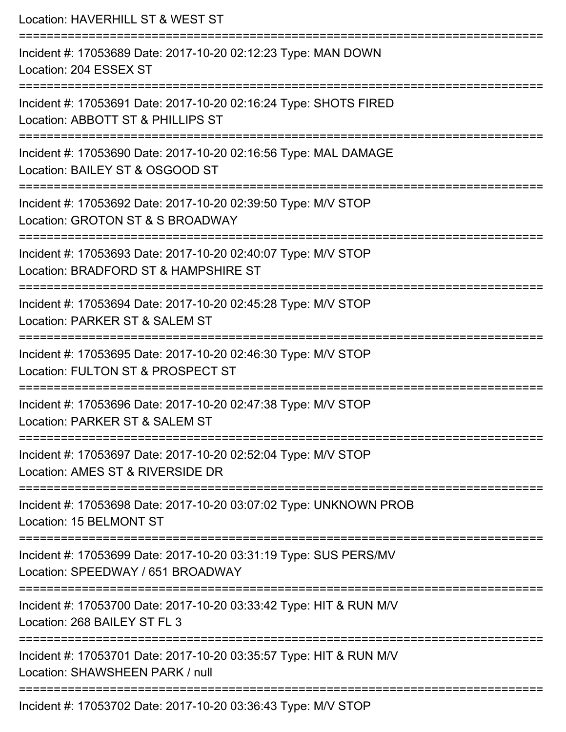| Location: HAVERHILL ST & WEST ST<br>--------------------                                                                               |
|----------------------------------------------------------------------------------------------------------------------------------------|
| Incident #: 17053689 Date: 2017-10-20 02:12:23 Type: MAN DOWN<br>Location: 204 ESSEX ST                                                |
| Incident #: 17053691 Date: 2017-10-20 02:16:24 Type: SHOTS FIRED<br>Location: ABBOTT ST & PHILLIPS ST<br>==========================    |
| Incident #: 17053690 Date: 2017-10-20 02:16:56 Type: MAL DAMAGE<br>Location: BAILEY ST & OSGOOD ST<br>=========================        |
| Incident #: 17053692 Date: 2017-10-20 02:39:50 Type: M/V STOP<br>Location: GROTON ST & S BROADWAY                                      |
| Incident #: 17053693 Date: 2017-10-20 02:40:07 Type: M/V STOP<br>Location: BRADFORD ST & HAMPSHIRE ST<br>============================= |
| Incident #: 17053694 Date: 2017-10-20 02:45:28 Type: M/V STOP<br>Location: PARKER ST & SALEM ST                                        |
| Incident #: 17053695 Date: 2017-10-20 02:46:30 Type: M/V STOP<br>Location: FULTON ST & PROSPECT ST                                     |
| Incident #: 17053696 Date: 2017-10-20 02:47:38 Type: M/V STOP<br>Location: PARKER ST & SALEM ST                                        |
| Incident #: 17053697 Date: 2017-10-20 02:52:04 Type: M/V STOP<br>Location: AMES ST & RIVERSIDE DR                                      |
| Incident #: 17053698 Date: 2017-10-20 03:07:02 Type: UNKNOWN PROB<br>Location: 15 BELMONT ST                                           |
| Incident #: 17053699 Date: 2017-10-20 03:31:19 Type: SUS PERS/MV<br>Location: SPEEDWAY / 651 BROADWAY                                  |
| Incident #: 17053700 Date: 2017-10-20 03:33:42 Type: HIT & RUN M/V<br>Location: 268 BAILEY ST FL 3                                     |
| Incident #: 17053701 Date: 2017-10-20 03:35:57 Type: HIT & RUN M/V<br>Location: SHAWSHEEN PARK / null                                  |
| Incident #: 17053702 Date: 2017-10-20 03:36:43 Type: M/V STOP                                                                          |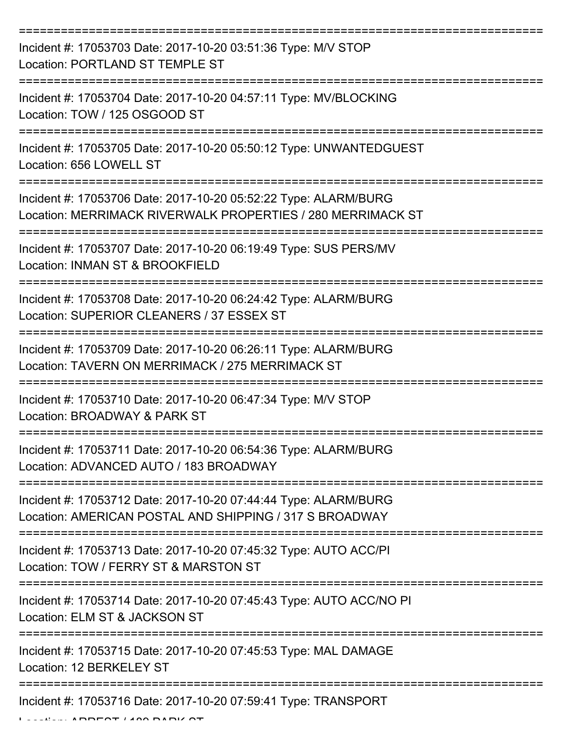| Incident #: 17053703 Date: 2017-10-20 03:51:36 Type: M/V STOP<br>Location: PORTLAND ST TEMPLE ST                               |
|--------------------------------------------------------------------------------------------------------------------------------|
| Incident #: 17053704 Date: 2017-10-20 04:57:11 Type: MV/BLOCKING<br>Location: TOW / 125 OSGOOD ST                              |
| Incident #: 17053705 Date: 2017-10-20 05:50:12 Type: UNWANTEDGUEST<br>Location: 656 LOWELL ST                                  |
| Incident #: 17053706 Date: 2017-10-20 05:52:22 Type: ALARM/BURG<br>Location: MERRIMACK RIVERWALK PROPERTIES / 280 MERRIMACK ST |
| Incident #: 17053707 Date: 2017-10-20 06:19:49 Type: SUS PERS/MV<br>Location: INMAN ST & BROOKFIELD                            |
| =============<br>Incident #: 17053708 Date: 2017-10-20 06:24:42 Type: ALARM/BURG<br>Location: SUPERIOR CLEANERS / 37 ESSEX ST  |
| Incident #: 17053709 Date: 2017-10-20 06:26:11 Type: ALARM/BURG<br>Location: TAVERN ON MERRIMACK / 275 MERRIMACK ST            |
| Incident #: 17053710 Date: 2017-10-20 06:47:34 Type: M/V STOP<br>Location: BROADWAY & PARK ST                                  |
| Incident #: 17053711 Date: 2017-10-20 06:54:36 Type: ALARM/BURG<br>Location: ADVANCED AUTO / 183 BROADWAY                      |
| Incident #: 17053712 Date: 2017-10-20 07:44:44 Type: ALARM/BURG<br>Location: AMERICAN POSTAL AND SHIPPING / 317 S BROADWAY     |
| Incident #: 17053713 Date: 2017-10-20 07:45:32 Type: AUTO ACC/PI<br>Location: TOW / FERRY ST & MARSTON ST                      |
| Incident #: 17053714 Date: 2017-10-20 07:45:43 Type: AUTO ACC/NO PI<br>Location: ELM ST & JACKSON ST                           |
| Incident #: 17053715 Date: 2017-10-20 07:45:53 Type: MAL DAMAGE<br>Location: 12 BERKELEY ST                                    |
| Incident #: 17053716 Date: 2017-10-20 07:59:41 Type: TRANSPORT                                                                 |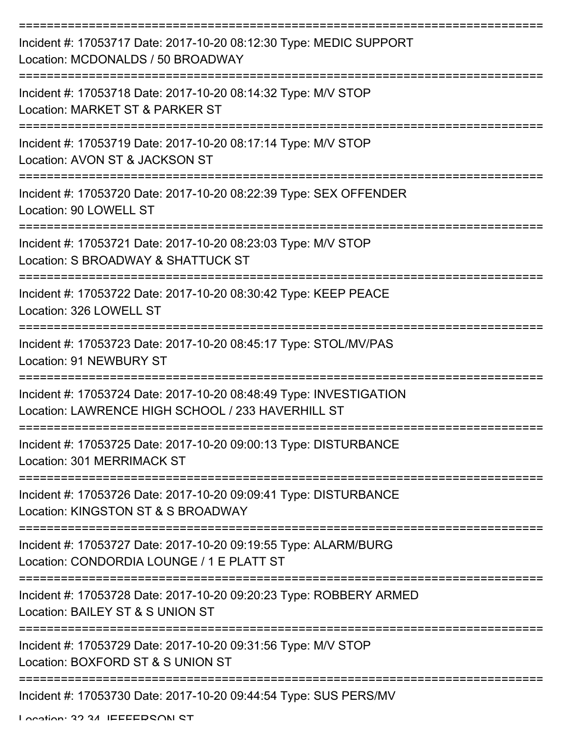| Incident #: 17053717 Date: 2017-10-20 08:12:30 Type: MEDIC SUPPORT<br>Location: MCDONALDS / 50 BROADWAY                 |
|-------------------------------------------------------------------------------------------------------------------------|
| Incident #: 17053718 Date: 2017-10-20 08:14:32 Type: M/V STOP<br>Location: MARKET ST & PARKER ST                        |
| Incident #: 17053719 Date: 2017-10-20 08:17:14 Type: M/V STOP<br>Location: AVON ST & JACKSON ST                         |
| Incident #: 17053720 Date: 2017-10-20 08:22:39 Type: SEX OFFENDER<br>Location: 90 LOWELL ST                             |
| Incident #: 17053721 Date: 2017-10-20 08:23:03 Type: M/V STOP<br>Location: S BROADWAY & SHATTUCK ST                     |
| Incident #: 17053722 Date: 2017-10-20 08:30:42 Type: KEEP PEACE<br>Location: 326 LOWELL ST                              |
| Incident #: 17053723 Date: 2017-10-20 08:45:17 Type: STOL/MV/PAS<br><b>Location: 91 NEWBURY ST</b>                      |
| Incident #: 17053724 Date: 2017-10-20 08:48:49 Type: INVESTIGATION<br>Location: LAWRENCE HIGH SCHOOL / 233 HAVERHILL ST |
| Incident #: 17053725 Date: 2017-10-20 09:00:13 Type: DISTURBANCE<br>Location: 301 MERRIMACK ST                          |
| Incident #: 17053726 Date: 2017-10-20 09:09:41 Type: DISTURBANCE<br>Location: KINGSTON ST & S BROADWAY                  |
| Incident #: 17053727 Date: 2017-10-20 09:19:55 Type: ALARM/BURG<br>Location: CONDORDIA LOUNGE / 1 E PLATT ST            |
| Incident #: 17053728 Date: 2017-10-20 09:20:23 Type: ROBBERY ARMED<br>Location: BAILEY ST & S UNION ST                  |
| Incident #: 17053729 Date: 2017-10-20 09:31:56 Type: M/V STOP<br>Location: BOXFORD ST & S UNION ST                      |
| Incident #: 17053730 Date: 2017-10-20 09:44:54 Type: SUS PERS/MV                                                        |

Location: 32 34 IEEEEDCAN CT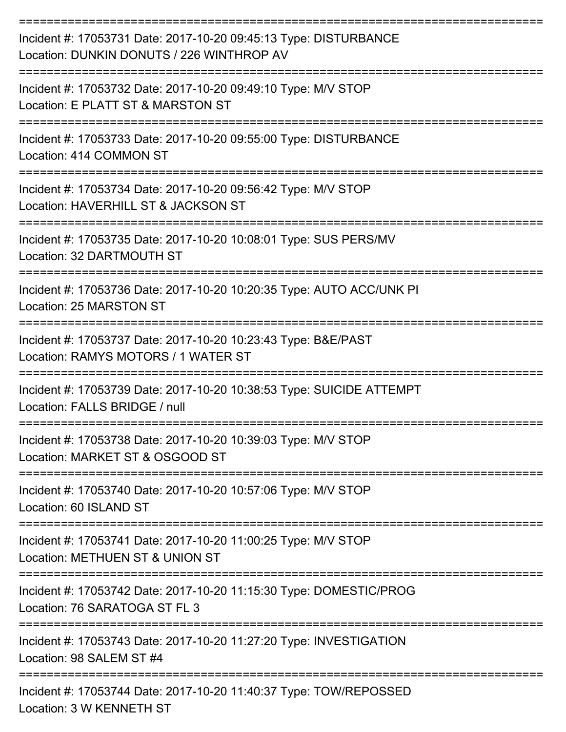| Incident #: 17053731 Date: 2017-10-20 09:45:13 Type: DISTURBANCE<br>Location: DUNKIN DONUTS / 226 WINTHROP AV                     |
|-----------------------------------------------------------------------------------------------------------------------------------|
| Incident #: 17053732 Date: 2017-10-20 09:49:10 Type: M/V STOP<br>Location: E PLATT ST & MARSTON ST                                |
| Incident #: 17053733 Date: 2017-10-20 09:55:00 Type: DISTURBANCE<br>Location: 414 COMMON ST                                       |
| Incident #: 17053734 Date: 2017-10-20 09:56:42 Type: M/V STOP<br>Location: HAVERHILL ST & JACKSON ST                              |
| Incident #: 17053735 Date: 2017-10-20 10:08:01 Type: SUS PERS/MV<br>Location: 32 DARTMOUTH ST                                     |
| Incident #: 17053736 Date: 2017-10-20 10:20:35 Type: AUTO ACC/UNK PI<br>Location: 25 MARSTON ST                                   |
| Incident #: 17053737 Date: 2017-10-20 10:23:43 Type: B&E/PAST<br>Location: RAMYS MOTORS / 1 WATER ST                              |
| ===========<br>Incident #: 17053739 Date: 2017-10-20 10:38:53 Type: SUICIDE ATTEMPT<br>Location: FALLS BRIDGE / null              |
| Incident #: 17053738 Date: 2017-10-20 10:39:03 Type: M/V STOP<br>Location: MARKET ST & OSGOOD ST                                  |
| Incident #: 17053740 Date: 2017-10-20 10:57:06 Type: M/V STOP<br>Location: 60 ISLAND ST                                           |
| =============================<br>Incident #: 17053741 Date: 2017-10-20 11:00:25 Type: M/V STOP<br>Location: METHUEN ST & UNION ST |
| Incident #: 17053742 Date: 2017-10-20 11:15:30 Type: DOMESTIC/PROG<br>Location: 76 SARATOGA ST FL 3                               |
| Incident #: 17053743 Date: 2017-10-20 11:27:20 Type: INVESTIGATION<br>Location: 98 SALEM ST #4                                    |
| Incident #: 17053744 Date: 2017-10-20 11:40:37 Type: TOW/REPOSSED<br>Location: 3 W KENNETH ST                                     |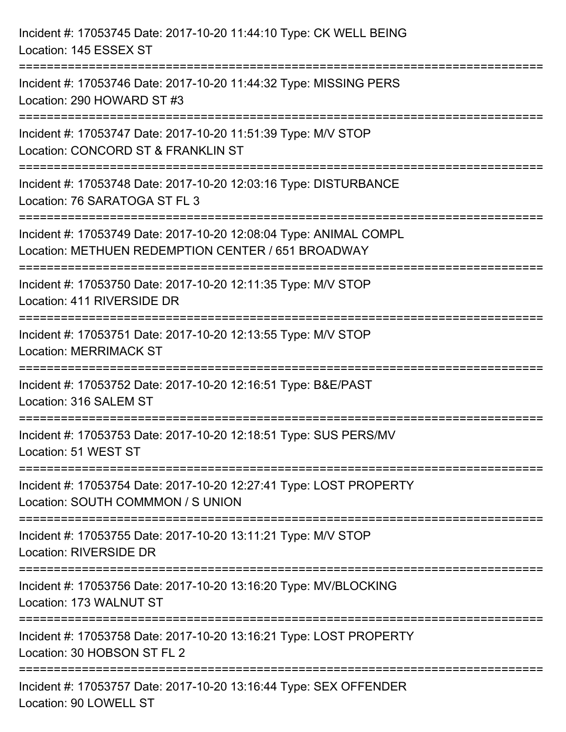| Incident #: 17053745 Date: 2017-10-20 11:44:10 Type: CK WELL BEING<br>Location: 145 ESSEX ST                                       |
|------------------------------------------------------------------------------------------------------------------------------------|
| ===============================<br>Incident #: 17053746 Date: 2017-10-20 11:44:32 Type: MISSING PERS<br>Location: 290 HOWARD ST #3 |
| Incident #: 17053747 Date: 2017-10-20 11:51:39 Type: M/V STOP<br>Location: CONCORD ST & FRANKLIN ST                                |
| Incident #: 17053748 Date: 2017-10-20 12:03:16 Type: DISTURBANCE<br>Location: 76 SARATOGA ST FL 3                                  |
| Incident #: 17053749 Date: 2017-10-20 12:08:04 Type: ANIMAL COMPL<br>Location: METHUEN REDEMPTION CENTER / 651 BROADWAY            |
| Incident #: 17053750 Date: 2017-10-20 12:11:35 Type: M/V STOP<br>Location: 411 RIVERSIDE DR                                        |
| Incident #: 17053751 Date: 2017-10-20 12:13:55 Type: M/V STOP<br><b>Location: MERRIMACK ST</b>                                     |
| Incident #: 17053752 Date: 2017-10-20 12:16:51 Type: B&E/PAST<br>Location: 316 SALEM ST                                            |
| Incident #: 17053753 Date: 2017-10-20 12:18:51 Type: SUS PERS/MV<br>Location: 51 WEST ST                                           |
| Incident #: 17053754 Date: 2017-10-20 12:27:41 Type: LOST PROPERTY<br>Location: SOUTH COMMMON / S UNION                            |
| Incident #: 17053755 Date: 2017-10-20 13:11:21 Type: M/V STOP<br>Location: RIVERSIDE DR                                            |
| Incident #: 17053756 Date: 2017-10-20 13:16:20 Type: MV/BLOCKING<br>Location: 173 WALNUT ST                                        |
| Incident #: 17053758 Date: 2017-10-20 13:16:21 Type: LOST PROPERTY<br>Location: 30 HOBSON ST FL 2                                  |
| Incident #: 17053757 Date: 2017-10-20 13:16:44 Type: SEX OFFENDER<br>Location: 90 LOWELL ST                                        |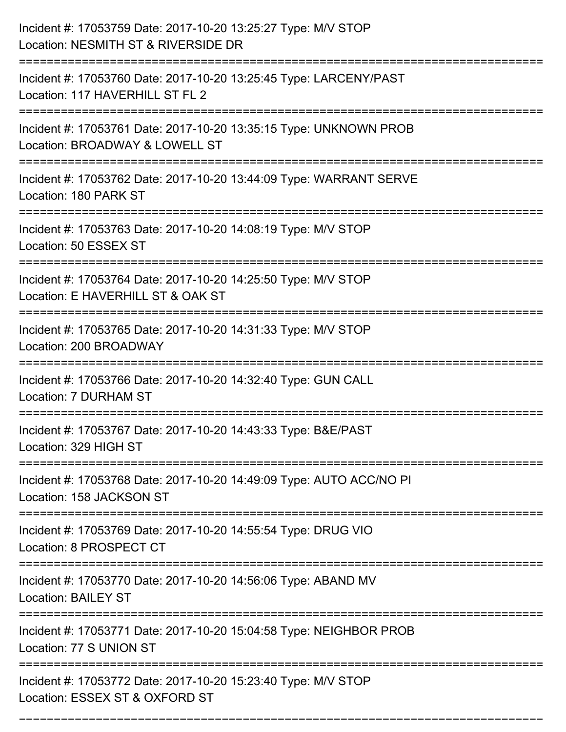| Incident #: 17053759 Date: 2017-10-20 13:25:27 Type: M/V STOP<br>Location: NESMITH ST & RIVERSIDE DR                         |
|------------------------------------------------------------------------------------------------------------------------------|
| Incident #: 17053760 Date: 2017-10-20 13:25:45 Type: LARCENY/PAST<br>Location: 117 HAVERHILL ST FL 2                         |
| Incident #: 17053761 Date: 2017-10-20 13:35:15 Type: UNKNOWN PROB<br>Location: BROADWAY & LOWELL ST<br>:==================== |
| Incident #: 17053762 Date: 2017-10-20 13:44:09 Type: WARRANT SERVE<br>Location: 180 PARK ST                                  |
| Incident #: 17053763 Date: 2017-10-20 14:08:19 Type: M/V STOP<br>Location: 50 ESSEX ST                                       |
| Incident #: 17053764 Date: 2017-10-20 14:25:50 Type: M/V STOP<br>Location: E HAVERHILL ST & OAK ST                           |
| Incident #: 17053765 Date: 2017-10-20 14:31:33 Type: M/V STOP<br>Location: 200 BROADWAY                                      |
| Incident #: 17053766 Date: 2017-10-20 14:32:40 Type: GUN CALL<br>Location: 7 DURHAM ST                                       |
| Incident #: 17053767 Date: 2017-10-20 14:43:33 Type: B&E/PAST<br>Location: 329 HIGH ST                                       |
| Incident #: 17053768 Date: 2017-10-20 14:49:09 Type: AUTO ACC/NO PI<br>Location: 158 JACKSON ST                              |
| --------------------------------<br>Incident #: 17053769 Date: 2017-10-20 14:55:54 Type: DRUG VIO<br>Location: 8 PROSPECT CT |
| Incident #: 17053770 Date: 2017-10-20 14:56:06 Type: ABAND MV<br><b>Location: BAILEY ST</b>                                  |
| Incident #: 17053771 Date: 2017-10-20 15:04:58 Type: NEIGHBOR PROB<br>Location: 77 S UNION ST                                |
| Incident #: 17053772 Date: 2017-10-20 15:23:40 Type: M/V STOP<br>Location: ESSEX ST & OXFORD ST                              |

===========================================================================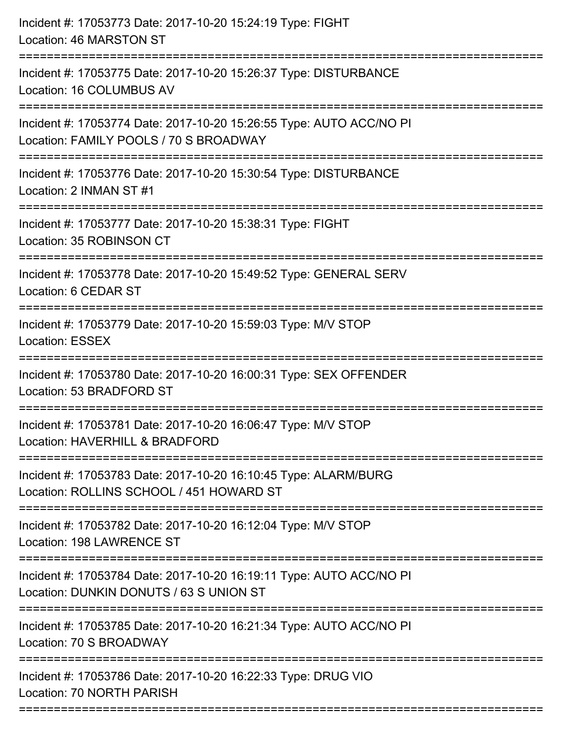| Incident #: 17053773 Date: 2017-10-20 15:24:19 Type: FIGHT<br>Location: 46 MARSTON ST                                                                                    |
|--------------------------------------------------------------------------------------------------------------------------------------------------------------------------|
| Incident #: 17053775 Date: 2017-10-20 15:26:37 Type: DISTURBANCE<br>Location: 16 COLUMBUS AV                                                                             |
| Incident #: 17053774 Date: 2017-10-20 15:26:55 Type: AUTO ACC/NO PI<br>Location: FAMILY POOLS / 70 S BROADWAY<br>==========================<br>:======================== |
| Incident #: 17053776 Date: 2017-10-20 15:30:54 Type: DISTURBANCE<br>Location: 2 INMAN ST #1                                                                              |
| Incident #: 17053777 Date: 2017-10-20 15:38:31 Type: FIGHT<br>Location: 35 ROBINSON CT                                                                                   |
| Incident #: 17053778 Date: 2017-10-20 15:49:52 Type: GENERAL SERV<br>Location: 6 CEDAR ST                                                                                |
| Incident #: 17053779 Date: 2017-10-20 15:59:03 Type: M/V STOP<br><b>Location: ESSEX</b>                                                                                  |
| Incident #: 17053780 Date: 2017-10-20 16:00:31 Type: SEX OFFENDER<br>Location: 53 BRADFORD ST                                                                            |
| Incident #: 17053781 Date: 2017-10-20 16:06:47 Type: M/V STOP<br>Location: HAVERHILL & BRADFORD                                                                          |
| Incident #: 17053783 Date: 2017-10-20 16:10:45 Type: ALARM/BURG<br>Location: ROLLINS SCHOOL / 451 HOWARD ST<br>=================================                         |
| Incident #: 17053782 Date: 2017-10-20 16:12:04 Type: M/V STOP<br>Location: 198 LAWRENCE ST                                                                               |
| Incident #: 17053784 Date: 2017-10-20 16:19:11 Type: AUTO ACC/NO PI<br>Location: DUNKIN DONUTS / 63 S UNION ST                                                           |
| Incident #: 17053785 Date: 2017-10-20 16:21:34 Type: AUTO ACC/NO PI<br>Location: 70 S BROADWAY                                                                           |
| Incident #: 17053786 Date: 2017-10-20 16:22:33 Type: DRUG VIO<br>Location: 70 NORTH PARISH                                                                               |
|                                                                                                                                                                          |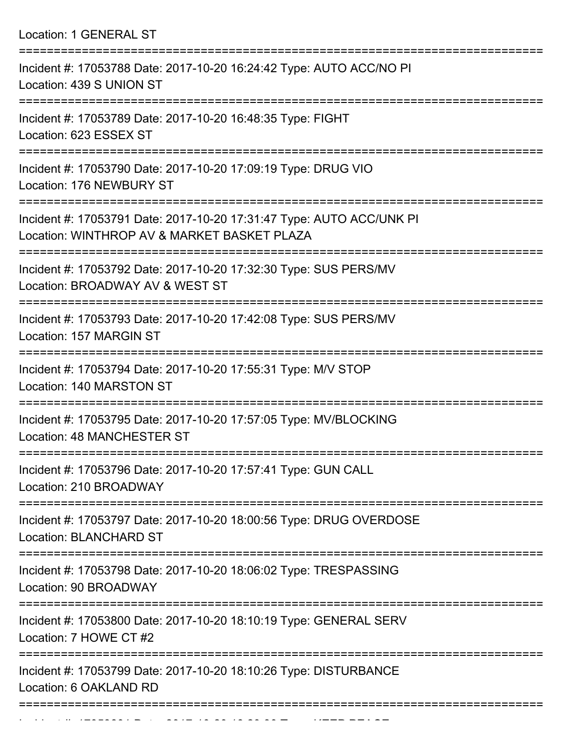Location: 1 GENERAL ST =========================================================================== Incident #: 17053788 Date: 2017-10-20 16:24:42 Type: AUTO ACC/NO PI Location: 439 S UNION ST =========================================================================== Incident #: 17053789 Date: 2017-10-20 16:48:35 Type: FIGHT Location: 623 ESSEX ST =========================================================================== Incident #: 17053790 Date: 2017-10-20 17:09:19 Type: DRUG VIO Location: 176 NEWBURY ST =========================================================================== Incident #: 17053791 Date: 2017-10-20 17:31:47 Type: AUTO ACC/UNK PI Location: WINTHROP AV & MARKET BASKET PLAZA =========================================================================== Incident #: 17053792 Date: 2017-10-20 17:32:30 Type: SUS PERS/MV Location: BROADWAY AV & WEST ST =========================================================================== Incident #: 17053793 Date: 2017-10-20 17:42:08 Type: SUS PERS/MV Location: 157 MARGIN ST =========================================================================== Incident #: 17053794 Date: 2017-10-20 17:55:31 Type: M/V STOP Location: 140 MARSTON ST =========================================================================== Incident #: 17053795 Date: 2017-10-20 17:57:05 Type: MV/BLOCKING Location: 48 MANCHESTER ST =========================================================================== Incident #: 17053796 Date: 2017-10-20 17:57:41 Type: GUN CALL Location: 210 BROADWAY =========================================================================== Incident #: 17053797 Date: 2017-10-20 18:00:56 Type: DRUG OVERDOSE Location: BLANCHARD ST =========================================================================== Incident #: 17053798 Date: 2017-10-20 18:06:02 Type: TRESPASSING Location: 90 BROADWAY =========================================================================== Incident #: 17053800 Date: 2017-10-20 18:10:19 Type: GENERAL SERV Location: 7 HOWE CT #2 =========================================================================== Incident #: 17053799 Date: 2017-10-20 18:10:26 Type: DISTURBANCE Location: 6 OAKLAND RD

===========================================================================

Incident #: 17053801 Date: 2017 10 2017 10 2017 Date: 2017 10 2018 10 2018 10 2018 10 2018 10 2018 10 2018 10<br>.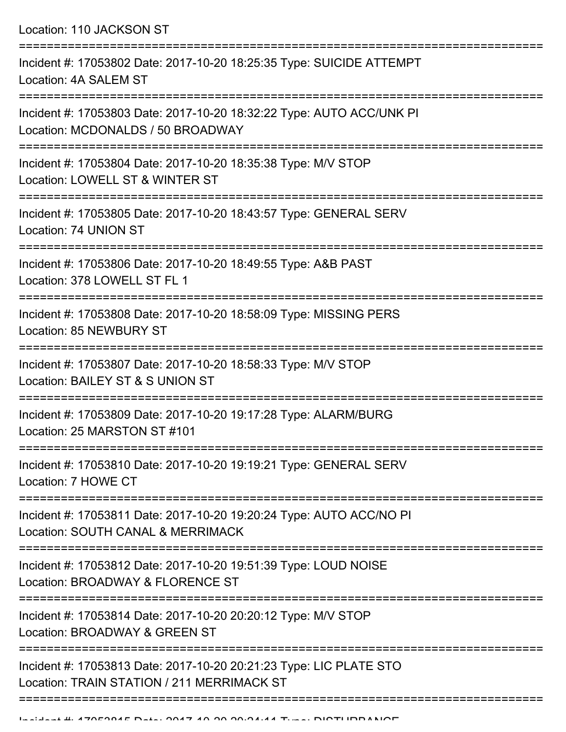Location: 110 JACKSON ST

| Incident #: 17053802 Date: 2017-10-20 18:25:35 Type: SUICIDE ATTEMPT<br>Location: 4A SALEM ST                                  |
|--------------------------------------------------------------------------------------------------------------------------------|
| Incident #: 17053803 Date: 2017-10-20 18:32:22 Type: AUTO ACC/UNK PI<br>Location: MCDONALDS / 50 BROADWAY                      |
| Incident #: 17053804 Date: 2017-10-20 18:35:38 Type: M/V STOP<br>Location: LOWELL ST & WINTER ST                               |
| Incident #: 17053805 Date: 2017-10-20 18:43:57 Type: GENERAL SERV<br>Location: 74 UNION ST                                     |
| Incident #: 17053806 Date: 2017-10-20 18:49:55 Type: A&B PAST<br>Location: 378 LOWELL ST FL 1                                  |
| Incident #: 17053808 Date: 2017-10-20 18:58:09 Type: MISSING PERS<br>Location: 85 NEWBURY ST                                   |
| Incident #: 17053807 Date: 2017-10-20 18:58:33 Type: M/V STOP<br>Location: BAILEY ST & S UNION ST                              |
| Incident #: 17053809 Date: 2017-10-20 19:17:28 Type: ALARM/BURG<br>Location: 25 MARSTON ST #101                                |
| Incident #: 17053810 Date: 2017-10-20 19:19:21 Type: GENERAL SERV<br>Location: 7 HOWE CT                                       |
| ==================<br>Incident #: 17053811 Date: 2017-10-20 19:20:24 Type: AUTO ACC/NO PI<br>Location: SOUTH CANAL & MERRIMACK |
| Incident #: 17053812 Date: 2017-10-20 19:51:39 Type: LOUD NOISE<br>Location: BROADWAY & FLORENCE ST                            |
| Incident #: 17053814 Date: 2017-10-20 20:20:12 Type: M/V STOP<br>Location: BROADWAY & GREEN ST                                 |
| Incident #: 17053813 Date: 2017-10-20 20:21:23 Type: LIC PLATE STO<br>Location: TRAIN STATION / 211 MERRIMACK ST               |
|                                                                                                                                |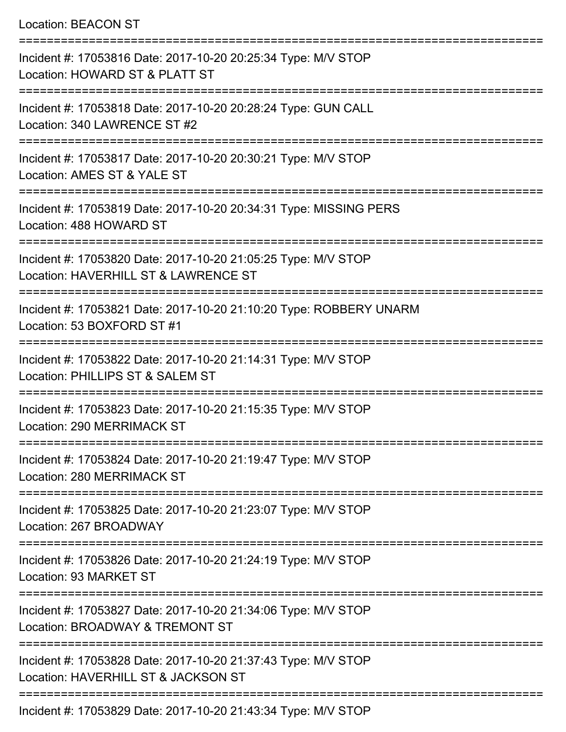## Location: BEACON ST

| Incident #: 17053816 Date: 2017-10-20 20:25:34 Type: M/V STOP<br>Location: HOWARD ST & PLATT ST                                |
|--------------------------------------------------------------------------------------------------------------------------------|
| Incident #: 17053818 Date: 2017-10-20 20:28:24 Type: GUN CALL<br>Location: 340 LAWRENCE ST #2                                  |
| Incident #: 17053817 Date: 2017-10-20 20:30:21 Type: M/V STOP<br>Location: AMES ST & YALE ST                                   |
| Incident #: 17053819 Date: 2017-10-20 20:34:31 Type: MISSING PERS<br>Location: 488 HOWARD ST                                   |
| Incident #: 17053820 Date: 2017-10-20 21:05:25 Type: M/V STOP<br>Location: HAVERHILL ST & LAWRENCE ST                          |
| Incident #: 17053821 Date: 2017-10-20 21:10:20 Type: ROBBERY UNARM<br>Location: 53 BOXFORD ST #1                               |
| Incident #: 17053822 Date: 2017-10-20 21:14:31 Type: M/V STOP<br>Location: PHILLIPS ST & SALEM ST                              |
| Incident #: 17053823 Date: 2017-10-20 21:15:35 Type: M/V STOP<br><b>Location: 290 MERRIMACK ST</b><br><u> ----------------</u> |
| Incident #: 17053824 Date: 2017-10-20 21:19:47 Type: M/V STOP<br>Location: 280 MERRIMACK ST                                    |
| Incident #: 17053825 Date: 2017-10-20 21:23:07 Type: M/V STOP<br>Location: 267 BROADWAY                                        |
| Incident #: 17053826 Date: 2017-10-20 21:24:19 Type: M/V STOP<br>Location: 93 MARKET ST                                        |
| Incident #: 17053827 Date: 2017-10-20 21:34:06 Type: M/V STOP<br>Location: BROADWAY & TREMONT ST                               |
| Incident #: 17053828 Date: 2017-10-20 21:37:43 Type: M/V STOP<br>Location: HAVERHILL ST & JACKSON ST                           |
| Incident #: 17053829 Date: 2017-10-20 21:43:34 Type: M/V STOP                                                                  |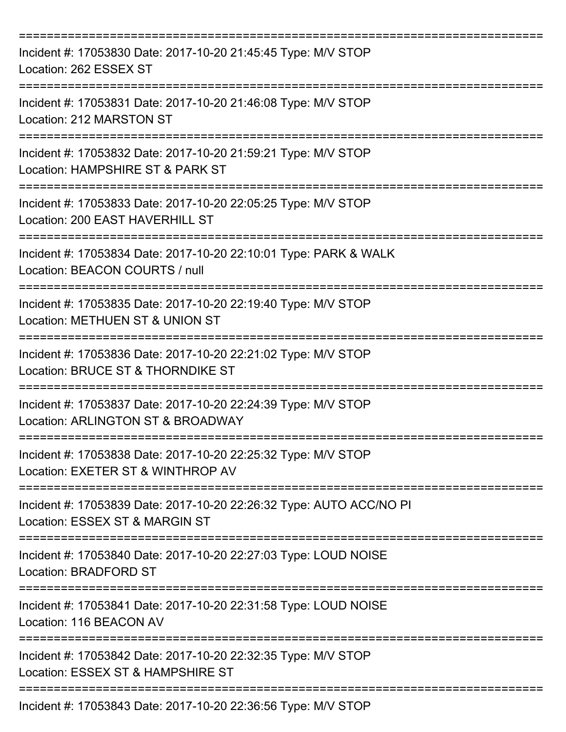| Incident #: 17053830 Date: 2017-10-20 21:45:45 Type: M/V STOP<br>Location: 262 ESSEX ST               |
|-------------------------------------------------------------------------------------------------------|
| Incident #: 17053831 Date: 2017-10-20 21:46:08 Type: M/V STOP<br>Location: 212 MARSTON ST             |
| Incident #: 17053832 Date: 2017-10-20 21:59:21 Type: M/V STOP<br>Location: HAMPSHIRE ST & PARK ST     |
| Incident #: 17053833 Date: 2017-10-20 22:05:25 Type: M/V STOP<br>Location: 200 EAST HAVERHILL ST      |
| Incident #: 17053834 Date: 2017-10-20 22:10:01 Type: PARK & WALK<br>Location: BEACON COURTS / null    |
| Incident #: 17053835 Date: 2017-10-20 22:19:40 Type: M/V STOP<br>Location: METHUEN ST & UNION ST      |
| Incident #: 17053836 Date: 2017-10-20 22:21:02 Type: M/V STOP<br>Location: BRUCE ST & THORNDIKE ST    |
| Incident #: 17053837 Date: 2017-10-20 22:24:39 Type: M/V STOP<br>Location: ARLINGTON ST & BROADWAY    |
| Incident #: 17053838 Date: 2017-10-20 22:25:32 Type: M/V STOP<br>Location: EXETER ST & WINTHROP AV    |
| Incident #: 17053839 Date: 2017-10-20 22:26:32 Type: AUTO ACC/NO PI<br>Location: ESSEX ST & MARGIN ST |
| Incident #: 17053840 Date: 2017-10-20 22:27:03 Type: LOUD NOISE<br>Location: BRADFORD ST              |
| Incident #: 17053841 Date: 2017-10-20 22:31:58 Type: LOUD NOISE<br>Location: 116 BEACON AV            |
| Incident #: 17053842 Date: 2017-10-20 22:32:35 Type: M/V STOP<br>Location: ESSEX ST & HAMPSHIRE ST    |
| Incident #: 17053843 Date: 2017-10-20 22:36:56 Type: M/V STOP                                         |